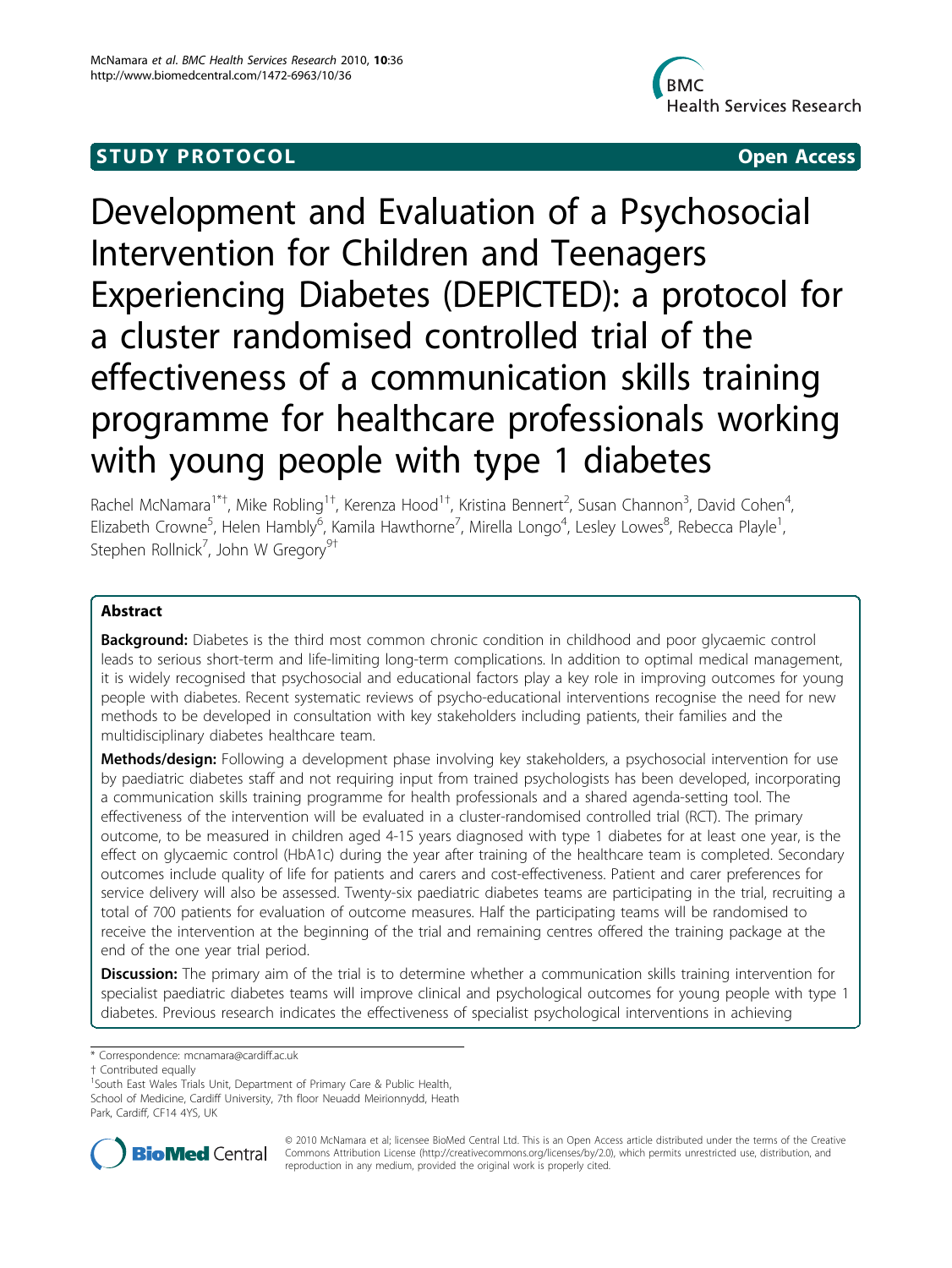## **STUDY PROTOCOL** CONTROL CONTROL CONTROL CONTROL CONTROL CONTROL CONTROL CONTROL CONTROL CONTROL CONTROL CONTROL CONTROL CONTROL CONTROL CONTROL CONTROL CONTROL CONTROL CONTROL CONTROL CONTROL CONTROL CONTROL CONTROL CONTR



# Development and Evaluation of a Psychosocial Intervention for Children and Teenagers Experiencing Diabetes (DEPICTED): a protocol for a cluster randomised controlled trial of the effectiveness of a communication skills training programme for healthcare professionals working with young people with type 1 diabetes

Rachel McNamara<sup>1\*†</sup>, Mike Robling<sup>1†</sup>, Kerenza Hood<sup>1†</sup>, Kristina Bennert<sup>2</sup>, Susan Channon<sup>3</sup>, David Cohen<sup>4</sup> , Elizabeth Crowne<sup>5</sup>, Helen Hambly<sup>6</sup>, Kamila Hawthorne<sup>7</sup>, Mirella Longo<sup>4</sup>, Lesley Lowes<sup>8</sup>, Rebecca Playle<sup>1</sup> , Stephen Rollnick<sup>7</sup>, John W Gregory<sup>9†</sup>

## Abstract

**Background:** Diabetes is the third most common chronic condition in childhood and poor glycaemic control leads to serious short-term and life-limiting long-term complications. In addition to optimal medical management, it is widely recognised that psychosocial and educational factors play a key role in improving outcomes for young people with diabetes. Recent systematic reviews of psycho-educational interventions recognise the need for new methods to be developed in consultation with key stakeholders including patients, their families and the multidisciplinary diabetes healthcare team.

**Methods/design:** Following a development phase involving key stakeholders, a psychosocial intervention for use by paediatric diabetes staff and not requiring input from trained psychologists has been developed, incorporating a communication skills training programme for health professionals and a shared agenda-setting tool. The effectiveness of the intervention will be evaluated in a cluster-randomised controlled trial (RCT). The primary outcome, to be measured in children aged 4-15 years diagnosed with type 1 diabetes for at least one year, is the effect on glycaemic control (HbA1c) during the year after training of the healthcare team is completed. Secondary outcomes include quality of life for patients and carers and cost-effectiveness. Patient and carer preferences for service delivery will also be assessed. Twenty-six paediatric diabetes teams are participating in the trial, recruiting a total of 700 patients for evaluation of outcome measures. Half the participating teams will be randomised to receive the intervention at the beginning of the trial and remaining centres offered the training package at the end of the one year trial period.

**Discussion:** The primary aim of the trial is to determine whether a communication skills training intervention for specialist paediatric diabetes teams will improve clinical and psychological outcomes for young people with type 1 diabetes. Previous research indicates the effectiveness of specialist psychological interventions in achieving

Park, Cardiff, CF14 4YS, UK



© 2010 McNamara et al; licensee BioMed Central Ltd. This is an Open Access article distributed under the terms of the Creative Commons Attribution License [\(http://creativecommons.org/licenses/by/2.0](http://creativecommons.org/licenses/by/2.0)), which permits unrestricted use, distribution, and reproduction in any medium, provided the original work is properly cited.

<sup>\*</sup> Correspondence: [mcnamara@cardiff.ac.uk](mailto:mcnamara@cardiff.ac.uk)

<sup>†</sup> Contributed equally <sup>1</sup>

<sup>&</sup>lt;sup>1</sup> South East Wales Trials Unit, Department of Primary Care & Public Health, School of Medicine, Cardiff University, 7th floor Neuadd Meirionnydd, Heath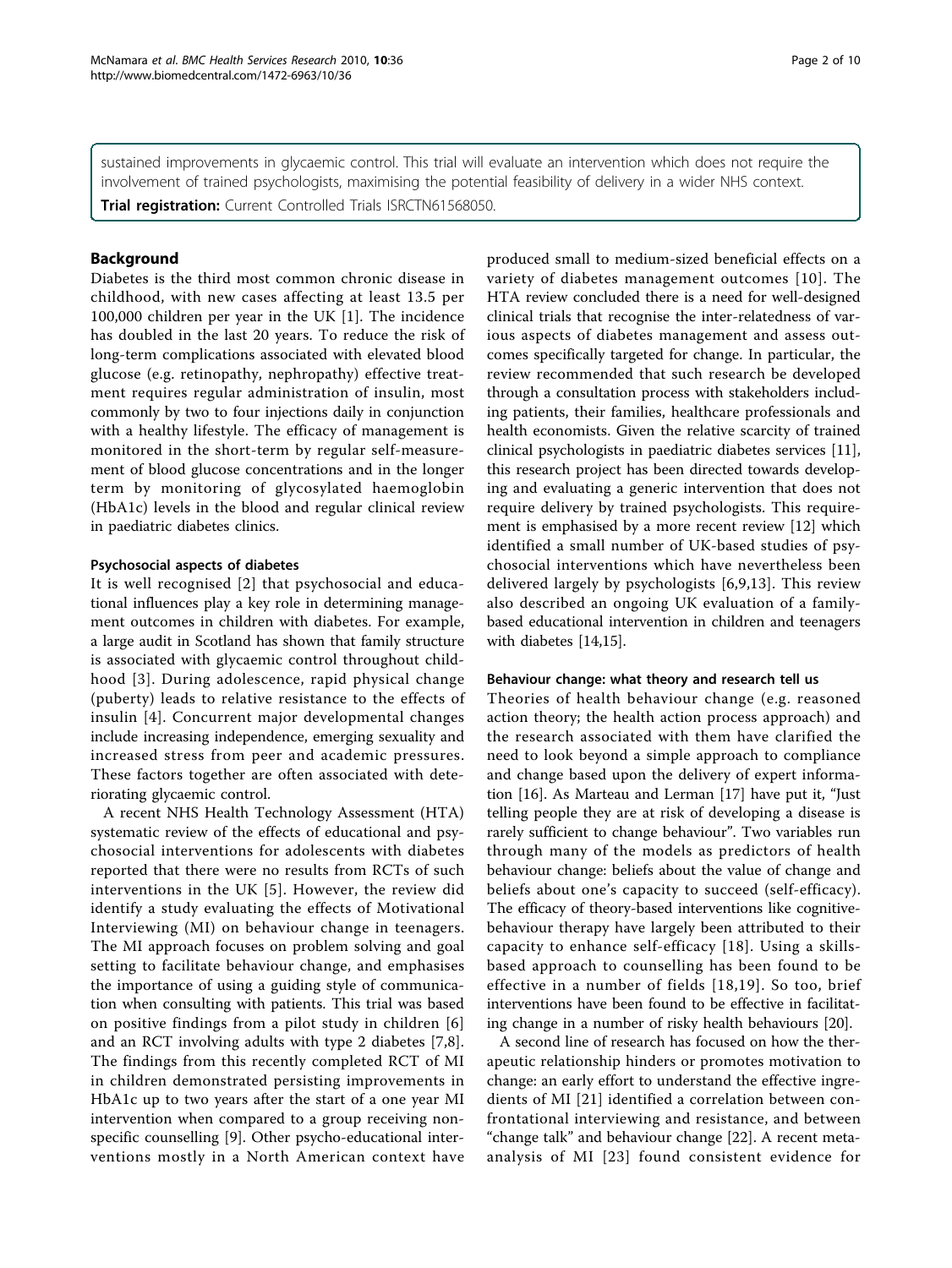sustained improvements in glycaemic control. This trial will evaluate an intervention which does not require the involvement of trained psychologists, maximising the potential feasibility of delivery in a wider NHS context.

Trial registration: Current Controlled Trials ISRCTN61568050.

#### Background

Diabetes is the third most common chronic disease in childhood, with new cases affecting at least 13.5 per 100,000 children per year in the UK [[1\]](#page-8-0). The incidence has doubled in the last 20 years. To reduce the risk of long-term complications associated with elevated blood glucose (e.g. retinopathy, nephropathy) effective treatment requires regular administration of insulin, most commonly by two to four injections daily in conjunction with a healthy lifestyle. The efficacy of management is monitored in the short-term by regular self-measurement of blood glucose concentrations and in the longer term by monitoring of glycosylated haemoglobin (HbA1c) levels in the blood and regular clinical review in paediatric diabetes clinics.

#### Psychosocial aspects of diabetes

It is well recognised [[2](#page-8-0)] that psychosocial and educational influences play a key role in determining management outcomes in children with diabetes. For example, a large audit in Scotland has shown that family structure is associated with glycaemic control throughout childhood [[3](#page-8-0)]. During adolescence, rapid physical change (puberty) leads to relative resistance to the effects of insulin [[4](#page-8-0)]. Concurrent major developmental changes include increasing independence, emerging sexuality and increased stress from peer and academic pressures. These factors together are often associated with deteriorating glycaemic control.

A recent NHS Health Technology Assessment (HTA) systematic review of the effects of educational and psychosocial interventions for adolescents with diabetes reported that there were no results from RCTs of such interventions in the UK [[5\]](#page-8-0). However, the review did identify a study evaluating the effects of Motivational Interviewing (MI) on behaviour change in teenagers. The MI approach focuses on problem solving and goal setting to facilitate behaviour change, and emphasises the importance of using a guiding style of communication when consulting with patients. This trial was based on positive findings from a pilot study in children [\[6](#page-8-0)] and an RCT involving adults with type 2 diabetes [[7,8](#page-8-0)]. The findings from this recently completed RCT of MI in children demonstrated persisting improvements in HbA1c up to two years after the start of a one year MI intervention when compared to a group receiving nonspecific counselling [[9\]](#page-8-0). Other psycho-educational interventions mostly in a North American context have produced small to medium-sized beneficial effects on a variety of diabetes management outcomes [[10\]](#page-8-0). The HTA review concluded there is a need for well-designed clinical trials that recognise the inter-relatedness of various aspects of diabetes management and assess outcomes specifically targeted for change. In particular, the review recommended that such research be developed through a consultation process with stakeholders including patients, their families, healthcare professionals and health economists. Given the relative scarcity of trained clinical psychologists in paediatric diabetes services [\[11](#page-8-0)], this research project has been directed towards developing and evaluating a generic intervention that does not require delivery by trained psychologists. This requirement is emphasised by a more recent review [[12\]](#page-8-0) which identified a small number of UK-based studies of psychosocial interventions which have nevertheless been delivered largely by psychologists [[6,9](#page-8-0),[13\]](#page-8-0). This review also described an ongoing UK evaluation of a familybased educational intervention in children and teenagers with diabetes [\[14,15\]](#page-8-0).

#### Behaviour change: what theory and research tell us

Theories of health behaviour change (e.g. reasoned action theory; the health action process approach) and the research associated with them have clarified the need to look beyond a simple approach to compliance and change based upon the delivery of expert information [\[16](#page-8-0)]. As Marteau and Lerman [[17](#page-8-0)] have put it, "Just telling people they are at risk of developing a disease is rarely sufficient to change behaviour". Two variables run through many of the models as predictors of health behaviour change: beliefs about the value of change and beliefs about one's capacity to succeed (self-efficacy). The efficacy of theory-based interventions like cognitivebehaviour therapy have largely been attributed to their capacity to enhance self-efficacy [[18\]](#page-8-0). Using a skillsbased approach to counselling has been found to be effective in a number of fields [[18,19\]](#page-8-0). So too, brief interventions have been found to be effective in facilitating change in a number of risky health behaviours [[20](#page-8-0)].

A second line of research has focused on how the therapeutic relationship hinders or promotes motivation to change: an early effort to understand the effective ingredients of MI [[21](#page-8-0)] identified a correlation between confrontational interviewing and resistance, and between "change talk" and behaviour change [\[22](#page-8-0)]. A recent metaanalysis of MI [[23](#page-8-0)] found consistent evidence for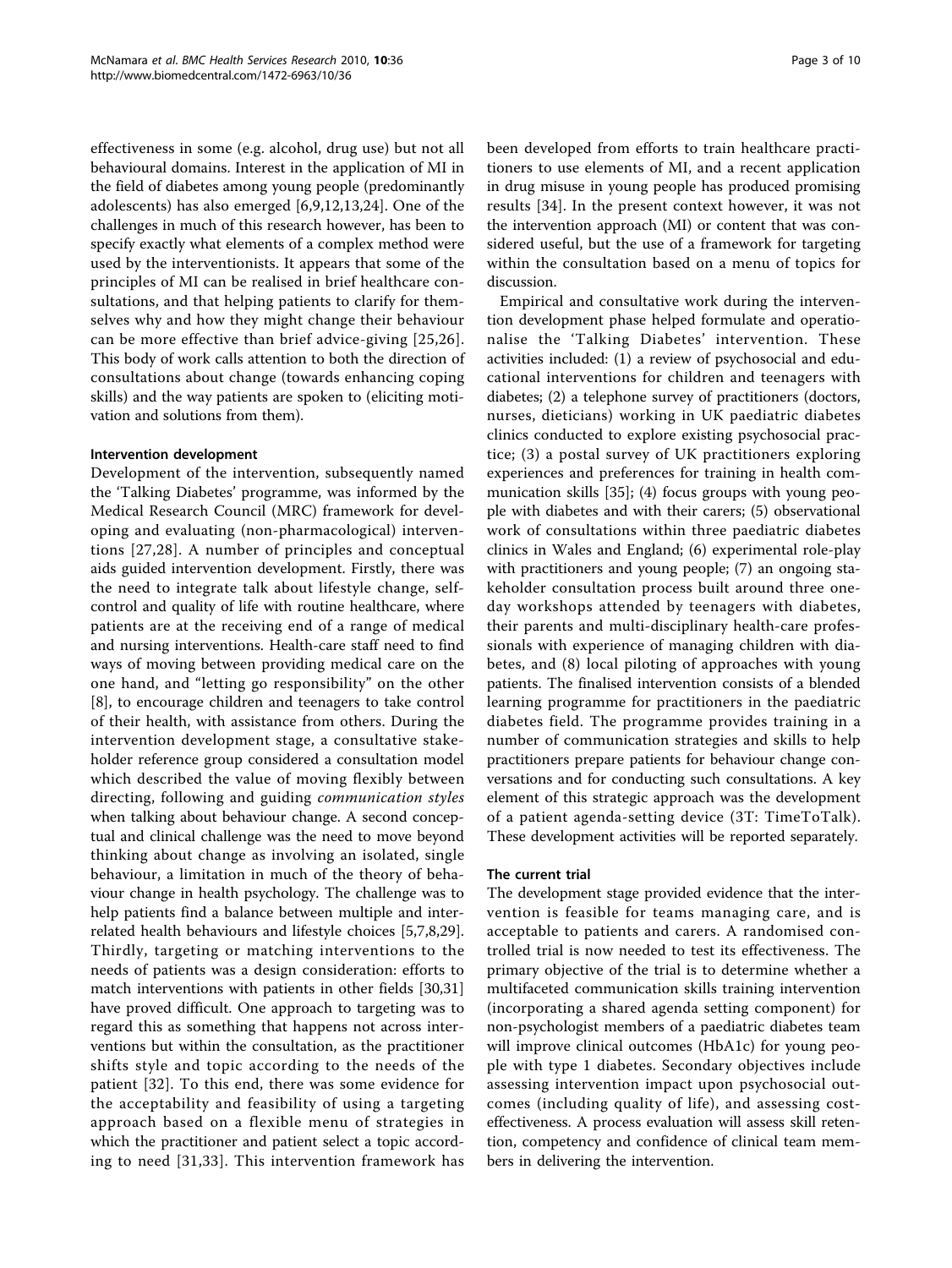effectiveness in some (e.g. alcohol, drug use) but not all behavioural domains. Interest in the application of MI in the field of diabetes among young people (predominantly adolescents) has also emerged [\[6](#page-8-0),[9,12,13,24](#page-8-0)]. One of the challenges in much of this research however, has been to specify exactly what elements of a complex method were used by the interventionists. It appears that some of the principles of MI can be realised in brief healthcare consultations, and that helping patients to clarify for themselves why and how they might change their behaviour can be more effective than brief advice-giving [[25](#page-8-0),[26\]](#page-8-0). This body of work calls attention to both the direction of consultations about change (towards enhancing coping skills) and the way patients are spoken to (eliciting motivation and solutions from them).

#### Intervention development

Development of the intervention, subsequently named the 'Talking Diabetes' programme, was informed by the Medical Research Council (MRC) framework for developing and evaluating (non-pharmacological) interventions [[27,28](#page-8-0)]. A number of principles and conceptual aids guided intervention development. Firstly, there was the need to integrate talk about lifestyle change, selfcontrol and quality of life with routine healthcare, where patients are at the receiving end of a range of medical and nursing interventions. Health-care staff need to find ways of moving between providing medical care on the one hand, and "letting go responsibility" on the other [[8\]](#page-8-0), to encourage children and teenagers to take control of their health, with assistance from others. During the intervention development stage, a consultative stakeholder reference group considered a consultation model which described the value of moving flexibly between directing, following and guiding communication styles when talking about behaviour change. A second conceptual and clinical challenge was the need to move beyond thinking about change as involving an isolated, single behaviour, a limitation in much of the theory of behaviour change in health psychology. The challenge was to help patients find a balance between multiple and interrelated health behaviours and lifestyle choices [[5,7,8,29](#page-8-0)]. Thirdly, targeting or matching interventions to the needs of patients was a design consideration: efforts to match interventions with patients in other fields [\[30](#page-8-0),[31](#page-8-0)] have proved difficult. One approach to targeting was to regard this as something that happens not across interventions but within the consultation, as the practitioner shifts style and topic according to the needs of the patient [[32](#page-8-0)]. To this end, there was some evidence for the acceptability and feasibility of using a targeting approach based on a flexible menu of strategies in which the practitioner and patient select a topic according to need [[31](#page-8-0),[33](#page-8-0)]. This intervention framework has been developed from efforts to train healthcare practitioners to use elements of MI, and a recent application in drug misuse in young people has produced promising results [[34\]](#page-8-0). In the present context however, it was not the intervention approach (MI) or content that was considered useful, but the use of a framework for targeting within the consultation based on a menu of topics for discussion.

Empirical and consultative work during the intervention development phase helped formulate and operationalise the 'Talking Diabetes' intervention. These activities included: (1) a review of psychosocial and educational interventions for children and teenagers with diabetes; (2) a telephone survey of practitioners (doctors, nurses, dieticians) working in UK paediatric diabetes clinics conducted to explore existing psychosocial practice; (3) a postal survey of UK practitioners exploring experiences and preferences for training in health communication skills [\[35](#page-8-0)]; (4) focus groups with young people with diabetes and with their carers; (5) observational work of consultations within three paediatric diabetes clinics in Wales and England; (6) experimental role-play with practitioners and young people; (7) an ongoing stakeholder consultation process built around three oneday workshops attended by teenagers with diabetes, their parents and multi-disciplinary health-care professionals with experience of managing children with diabetes, and (8) local piloting of approaches with young patients. The finalised intervention consists of a blended learning programme for practitioners in the paediatric diabetes field. The programme provides training in a number of communication strategies and skills to help practitioners prepare patients for behaviour change conversations and for conducting such consultations. A key element of this strategic approach was the development of a patient agenda-setting device (3T: TimeToTalk). These development activities will be reported separately.

## The current trial

The development stage provided evidence that the intervention is feasible for teams managing care, and is acceptable to patients and carers. A randomised controlled trial is now needed to test its effectiveness. The primary objective of the trial is to determine whether a multifaceted communication skills training intervention (incorporating a shared agenda setting component) for non-psychologist members of a paediatric diabetes team will improve clinical outcomes (HbA1c) for young people with type 1 diabetes. Secondary objectives include assessing intervention impact upon psychosocial outcomes (including quality of life), and assessing costeffectiveness. A process evaluation will assess skill retention, competency and confidence of clinical team members in delivering the intervention.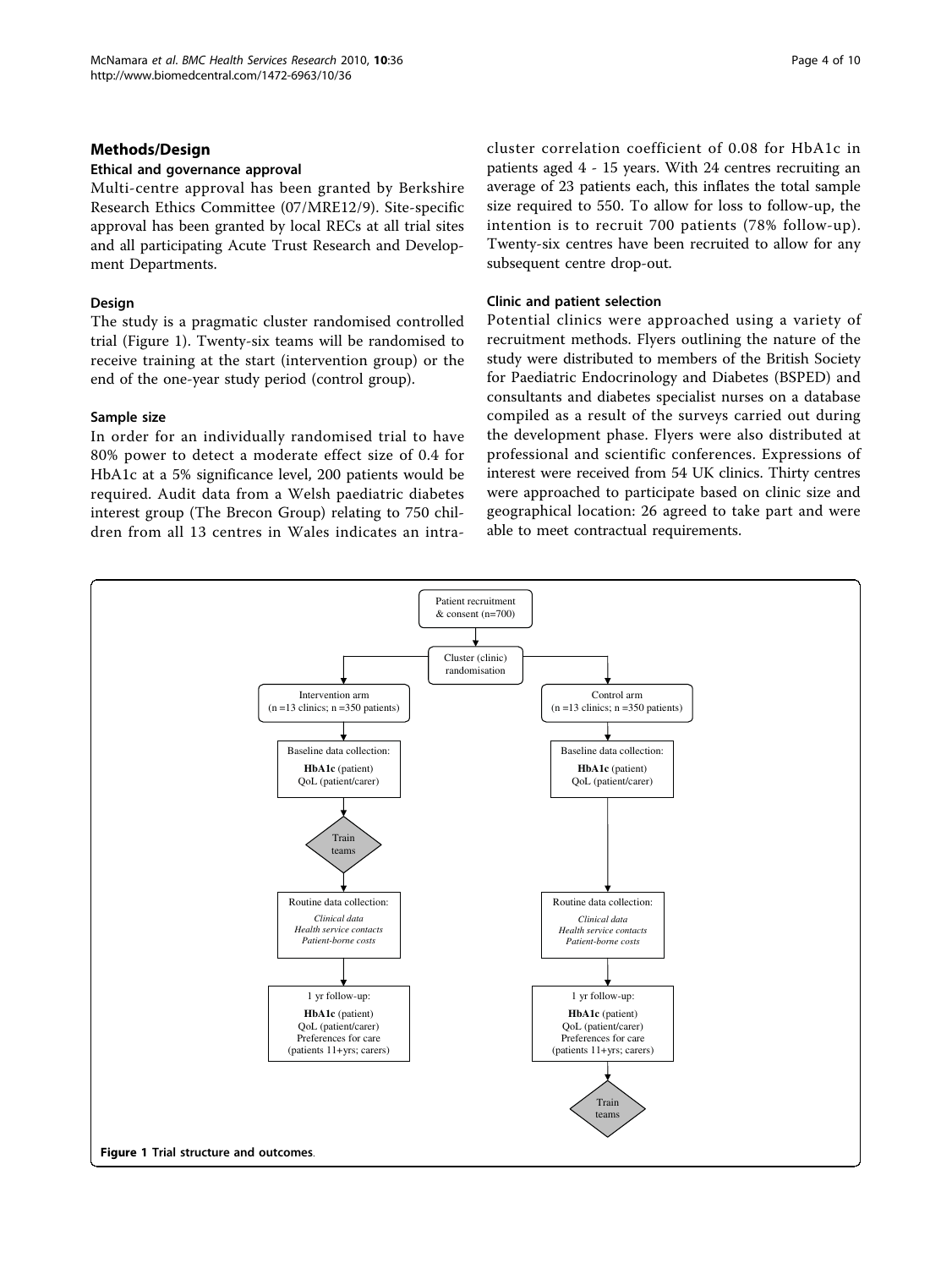## Methods/Design

## Ethical and governance approval

Multi-centre approval has been granted by Berkshire Research Ethics Committee (07/MRE12/9). Site-specific approval has been granted by local RECs at all trial sites and all participating Acute Trust Research and Development Departments.

## Design

The study is a pragmatic cluster randomised controlled trial (Figure 1). Twenty-six teams will be randomised to receive training at the start (intervention group) or the end of the one-year study period (control group).

## Sample size

In order for an individually randomised trial to have 80% power to detect a moderate effect size of 0.4 for HbA1c at a 5% significance level, 200 patients would be required. Audit data from a Welsh paediatric diabetes interest group (The Brecon Group) relating to 750 children from all 13 centres in Wales indicates an intracluster correlation coefficient of 0.08 for HbA1c in patients aged 4 - 15 years. With 24 centres recruiting an average of 23 patients each, this inflates the total sample size required to 550. To allow for loss to follow-up, the intention is to recruit 700 patients (78% follow-up). Twenty-six centres have been recruited to allow for any subsequent centre drop-out.

## Clinic and patient selection

Potential clinics were approached using a variety of recruitment methods. Flyers outlining the nature of the study were distributed to members of the British Society for Paediatric Endocrinology and Diabetes (BSPED) and consultants and diabetes specialist nurses on a database compiled as a result of the surveys carried out during the development phase. Flyers were also distributed at professional and scientific conferences. Expressions of interest were received from 54 UK clinics. Thirty centres were approached to participate based on clinic size and geographical location: 26 agreed to take part and were able to meet contractual requirements.

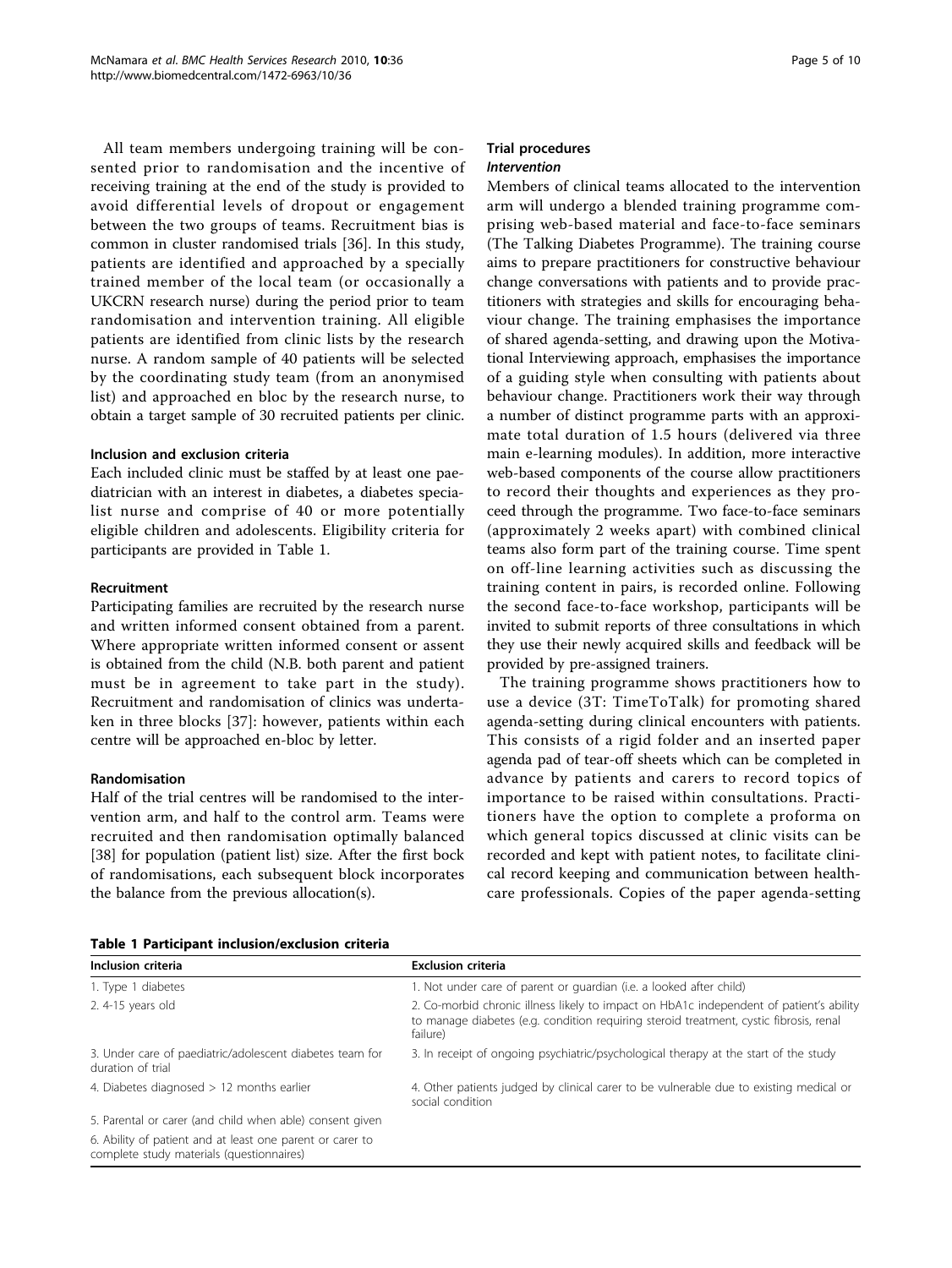All team members undergoing training will be consented prior to randomisation and the incentive of receiving training at the end of the study is provided to avoid differential levels of dropout or engagement between the two groups of teams. Recruitment bias is common in cluster randomised trials [\[36](#page-8-0)]. In this study, patients are identified and approached by a specially trained member of the local team (or occasionally a UKCRN research nurse) during the period prior to team randomisation and intervention training. All eligible patients are identified from clinic lists by the research nurse. A random sample of 40 patients will be selected by the coordinating study team (from an anonymised list) and approached en bloc by the research nurse, to obtain a target sample of 30 recruited patients per clinic.

#### Inclusion and exclusion criteria

Each included clinic must be staffed by at least one paediatrician with an interest in diabetes, a diabetes specialist nurse and comprise of 40 or more potentially eligible children and adolescents. Eligibility criteria for participants are provided in Table 1.

#### Recruitment

Participating families are recruited by the research nurse and written informed consent obtained from a parent. Where appropriate written informed consent or assent is obtained from the child (N.B. both parent and patient must be in agreement to take part in the study). Recruitment and randomisation of clinics was undertaken in three blocks [\[37](#page-8-0)]: however, patients within each centre will be approached en-bloc by letter.

## Randomisation

Half of the trial centres will be randomised to the intervention arm, and half to the control arm. Teams were recruited and then randomisation optimally balanced [[38\]](#page-8-0) for population (patient list) size. After the first bock of randomisations, each subsequent block incorporates the balance from the previous allocation(s).

## Trial procedures Intervention

Members of clinical teams allocated to the intervention arm will undergo a blended training programme comprising web-based material and face-to-face seminars (The Talking Diabetes Programme). The training course aims to prepare practitioners for constructive behaviour change conversations with patients and to provide practitioners with strategies and skills for encouraging behaviour change. The training emphasises the importance of shared agenda-setting, and drawing upon the Motivational Interviewing approach, emphasises the importance of a guiding style when consulting with patients about behaviour change. Practitioners work their way through a number of distinct programme parts with an approximate total duration of 1.5 hours (delivered via three main e-learning modules). In addition, more interactive web-based components of the course allow practitioners to record their thoughts and experiences as they proceed through the programme. Two face-to-face seminars (approximately 2 weeks apart) with combined clinical teams also form part of the training course. Time spent on off-line learning activities such as discussing the training content in pairs, is recorded online. Following the second face-to-face workshop, participants will be invited to submit reports of three consultations in which they use their newly acquired skills and feedback will be provided by pre-assigned trainers.

The training programme shows practitioners how to use a device (3T: TimeToTalk) for promoting shared agenda-setting during clinical encounters with patients. This consists of a rigid folder and an inserted paper agenda pad of tear-off sheets which can be completed in advance by patients and carers to record topics of importance to be raised within consultations. Practitioners have the option to complete a proforma on which general topics discussed at clinic visits can be recorded and kept with patient notes, to facilitate clinical record keeping and communication between healthcare professionals. Copies of the paper agenda-setting

| Inclusion criteria                                                                                     | <b>Exclusion criteria</b>                                                                                                                                                                     |  |
|--------------------------------------------------------------------------------------------------------|-----------------------------------------------------------------------------------------------------------------------------------------------------------------------------------------------|--|
| 1. Type 1 diabetes                                                                                     | 1. Not under care of parent or quardian (i.e. a looked after child)                                                                                                                           |  |
| 2. $4-15$ years old                                                                                    | 2. Co-morbid chronic illness likely to impact on HbA1c independent of patient's ability<br>to manage diabetes (e.g. condition requiring steroid treatment, cystic fibrosis, renal<br>failure) |  |
| 3. Under care of paediatric/adolescent diabetes team for<br>duration of trial                          | 3. In receipt of ongoing psychiatric/psychological therapy at the start of the study                                                                                                          |  |
| 4. Diabetes diagnosed $> 12$ months earlier                                                            | 4. Other patients judged by clinical carer to be vulnerable due to existing medical or<br>social condition                                                                                    |  |
| 5. Parental or carer (and child when able) consent given                                               |                                                                                                                                                                                               |  |
| 6. Ability of patient and at least one parent or carer to<br>complete study materials (questionnaires) |                                                                                                                                                                                               |  |

Table 1 Participant inclusion/exclusion criteria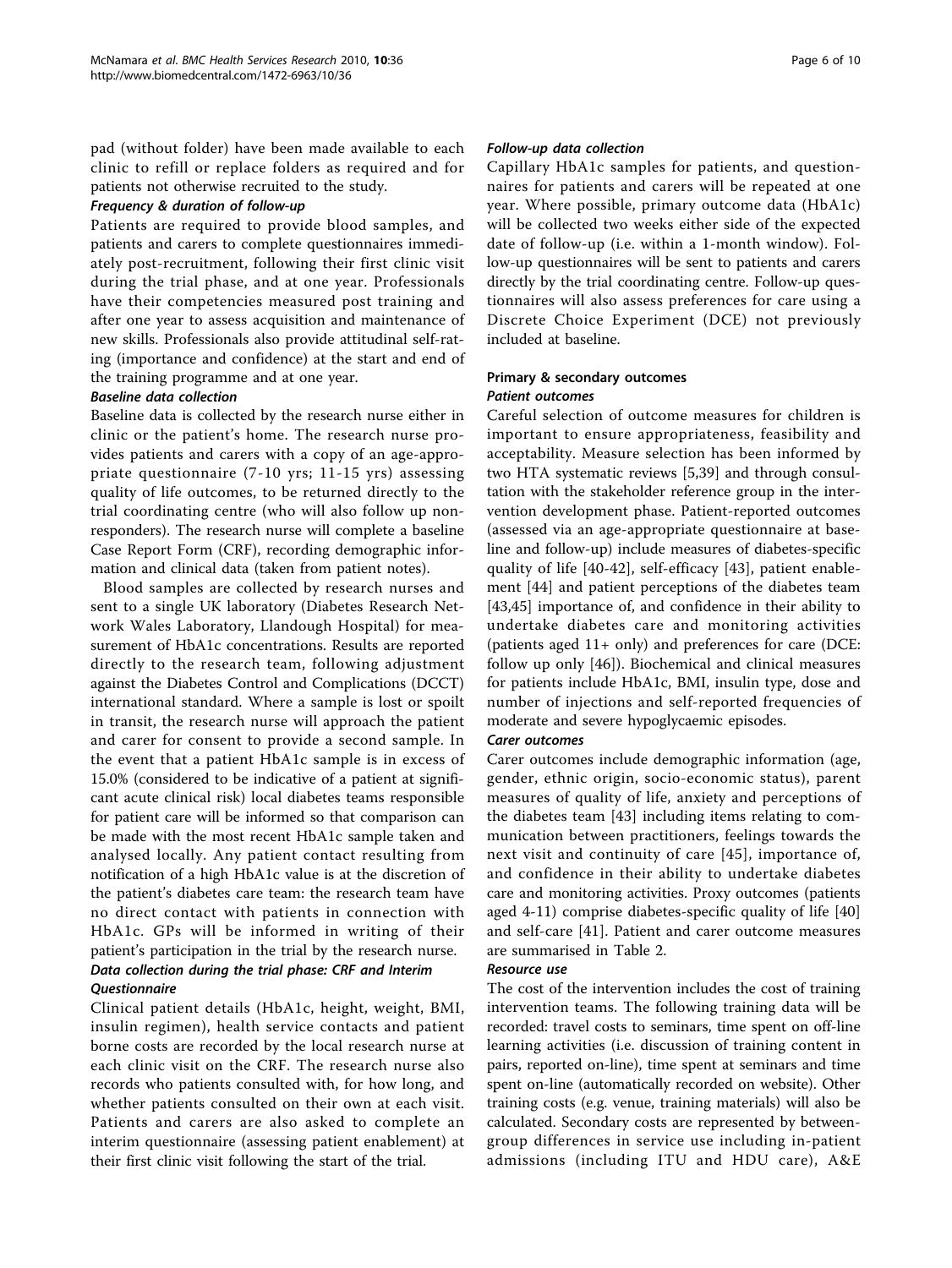pad (without folder) have been made available to each clinic to refill or replace folders as required and for patients not otherwise recruited to the study.

#### Frequency & duration of follow-up

Patients are required to provide blood samples, and patients and carers to complete questionnaires immediately post-recruitment, following their first clinic visit during the trial phase, and at one year. Professionals have their competencies measured post training and after one year to assess acquisition and maintenance of new skills. Professionals also provide attitudinal self-rating (importance and confidence) at the start and end of the training programme and at one year.

#### Baseline data collection

Baseline data is collected by the research nurse either in clinic or the patient's home. The research nurse provides patients and carers with a copy of an age-appropriate questionnaire (7-10 yrs; 11-15 yrs) assessing quality of life outcomes, to be returned directly to the trial coordinating centre (who will also follow up nonresponders). The research nurse will complete a baseline Case Report Form (CRF), recording demographic information and clinical data (taken from patient notes).

Blood samples are collected by research nurses and sent to a single UK laboratory (Diabetes Research Network Wales Laboratory, Llandough Hospital) for measurement of HbA1c concentrations. Results are reported directly to the research team, following adjustment against the Diabetes Control and Complications (DCCT) international standard. Where a sample is lost or spoilt in transit, the research nurse will approach the patient and carer for consent to provide a second sample. In the event that a patient HbA1c sample is in excess of 15.0% (considered to be indicative of a patient at significant acute clinical risk) local diabetes teams responsible for patient care will be informed so that comparison can be made with the most recent HbA1c sample taken and analysed locally. Any patient contact resulting from notification of a high HbA1c value is at the discretion of the patient's diabetes care team: the research team have no direct contact with patients in connection with HbA1c. GPs will be informed in writing of their patient's participation in the trial by the research nurse. Data collection during the trial phase: CRF and Interim **Questionnaire** 

Clinical patient details (HbA1c, height, weight, BMI, insulin regimen), health service contacts and patient borne costs are recorded by the local research nurse at each clinic visit on the CRF. The research nurse also records who patients consulted with, for how long, and whether patients consulted on their own at each visit. Patients and carers are also asked to complete an interim questionnaire (assessing patient enablement) at their first clinic visit following the start of the trial.

#### Follow-up data collection

Capillary HbA1c samples for patients, and questionnaires for patients and carers will be repeated at one year. Where possible, primary outcome data (HbA1c) will be collected two weeks either side of the expected date of follow-up (i.e. within a 1-month window). Follow-up questionnaires will be sent to patients and carers directly by the trial coordinating centre. Follow-up questionnaires will also assess preferences for care using a Discrete Choice Experiment (DCE) not previously included at baseline.

## Primary & secondary outcomes Patient outcomes

Careful selection of outcome measures for children is important to ensure appropriateness, feasibility and acceptability. Measure selection has been informed by two HTA systematic reviews [\[5,39](#page-8-0)] and through consultation with the stakeholder reference group in the intervention development phase. Patient-reported outcomes (assessed via an age-appropriate questionnaire at baseline and follow-up) include measures of diabetes-specific quality of life [[40](#page-8-0)-[42\]](#page-8-0), self-efficacy [\[43](#page-8-0)], patient enablement [[44\]](#page-8-0) and patient perceptions of the diabetes team [[43,45\]](#page-8-0) importance of, and confidence in their ability to undertake diabetes care and monitoring activities (patients aged 11+ only) and preferences for care (DCE: follow up only [\[46](#page-8-0)]). Biochemical and clinical measures for patients include HbA1c, BMI, insulin type, dose and number of injections and self-reported frequencies of moderate and severe hypoglycaemic episodes.

## Carer outcomes

Carer outcomes include demographic information (age, gender, ethnic origin, socio-economic status), parent measures of quality of life, anxiety and perceptions of the diabetes team [\[43](#page-8-0)] including items relating to communication between practitioners, feelings towards the next visit and continuity of care [[45\]](#page-8-0), importance of, and confidence in their ability to undertake diabetes care and monitoring activities. Proxy outcomes (patients aged 4-11) comprise diabetes-specific quality of life [[40](#page-8-0)] and self-care [\[41](#page-8-0)]. Patient and carer outcome measures are summarised in Table [2](#page-6-0).

## Resource use

The cost of the intervention includes the cost of training intervention teams. The following training data will be recorded: travel costs to seminars, time spent on off-line learning activities (i.e. discussion of training content in pairs, reported on-line), time spent at seminars and time spent on-line (automatically recorded on website). Other training costs (e.g. venue, training materials) will also be calculated. Secondary costs are represented by betweengroup differences in service use including in-patient admissions (including ITU and HDU care), A&E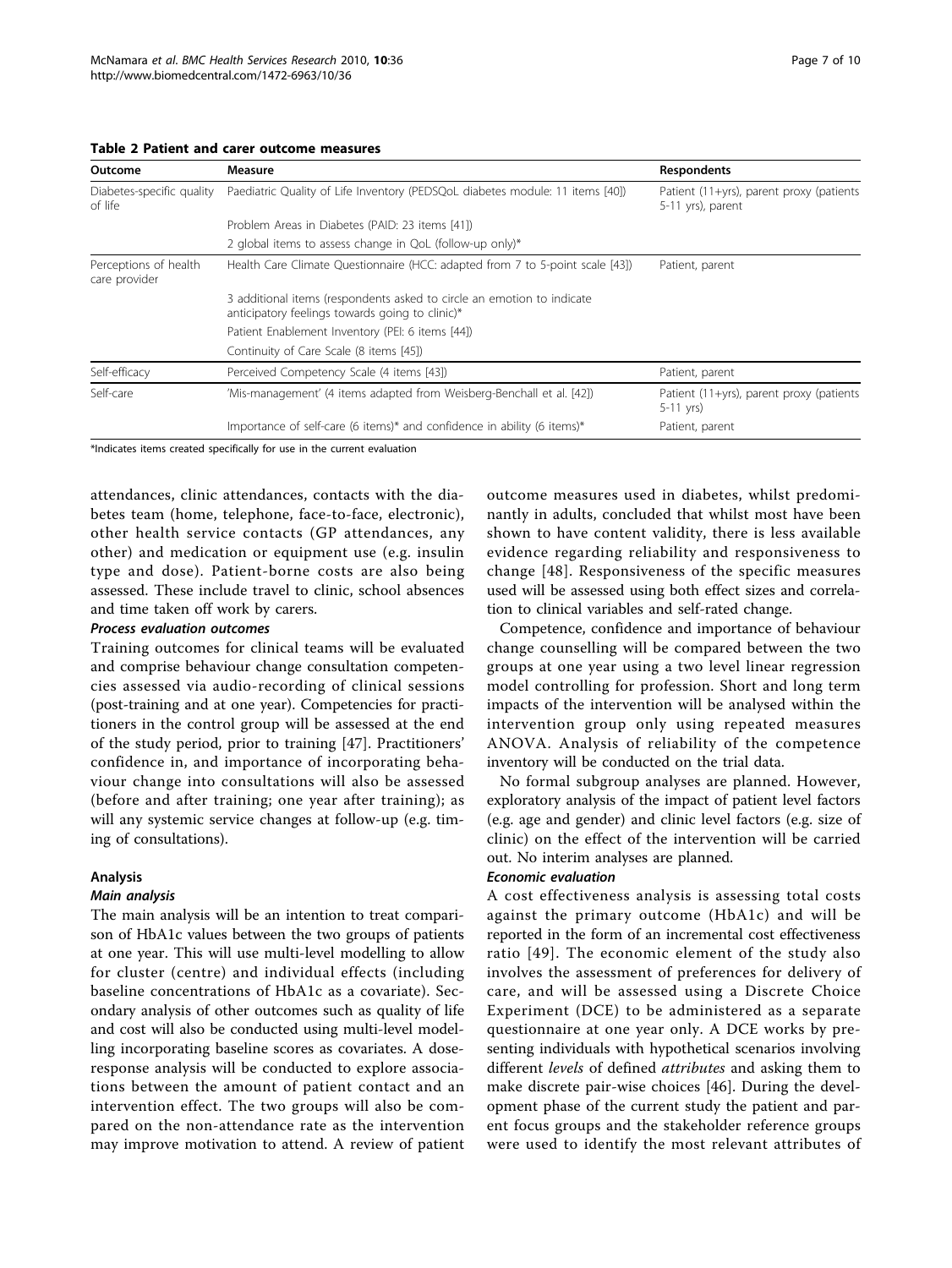| Outcome                                | Measure                                                                                                                   | Respondents                                                   |
|----------------------------------------|---------------------------------------------------------------------------------------------------------------------------|---------------------------------------------------------------|
| Diabetes-specific quality<br>of life   | Paediatric Quality of Life Inventory (PEDSQoL diabetes module: 11 items [40])                                             | Patient (11+yrs), parent proxy (patients<br>5-11 yrs), parent |
|                                        | Problem Areas in Diabetes (PAID: 23 items [41])                                                                           |                                                               |
|                                        | 2 global items to assess change in QoL (follow-up only)*                                                                  |                                                               |
| Perceptions of health<br>care provider | Health Care Climate Questionnaire (HCC: adapted from 7 to 5-point scale [43])                                             | Patient, parent                                               |
|                                        | 3 additional items (respondents asked to circle an emotion to indicate<br>anticipatory feelings towards going to clinic)* |                                                               |
|                                        | Patient Enablement Inventory (PEI: 6 items [44])                                                                          |                                                               |
|                                        | Continuity of Care Scale (8 items [45])                                                                                   |                                                               |
| Self-efficacy                          | Perceived Competency Scale (4 items [43])                                                                                 | Patient, parent                                               |
| Self-care                              | 'Mis-management' (4 items adapted from Weisberg-Benchall et al. [42])                                                     | Patient (11+yrs), parent proxy (patients<br>$5-11$ yrs)       |
|                                        | Importance of self-care (6 items)* and confidence in ability (6 items)*                                                   | Patient, parent                                               |

#### <span id="page-6-0"></span>Table 2 Patient and carer outcome measures

\*Indicates items created specifically for use in the current evaluation

attendances, clinic attendances, contacts with the diabetes team (home, telephone, face-to-face, electronic), other health service contacts (GP attendances, any other) and medication or equipment use (e.g. insulin type and dose). Patient-borne costs are also being assessed. These include travel to clinic, school absences and time taken off work by carers.

## Process evaluation outcomes

Training outcomes for clinical teams will be evaluated and comprise behaviour change consultation competencies assessed via audio-recording of clinical sessions (post-training and at one year). Competencies for practitioners in the control group will be assessed at the end of the study period, prior to training [\[47\]](#page-9-0). Practitioners' confidence in, and importance of incorporating behaviour change into consultations will also be assessed (before and after training; one year after training); as will any systemic service changes at follow-up (e.g. timing of consultations).

#### Analysis

#### Main analysis

The main analysis will be an intention to treat comparison of HbA1c values between the two groups of patients at one year. This will use multi-level modelling to allow for cluster (centre) and individual effects (including baseline concentrations of HbA1c as a covariate). Secondary analysis of other outcomes such as quality of life and cost will also be conducted using multi-level modelling incorporating baseline scores as covariates. A doseresponse analysis will be conducted to explore associations between the amount of patient contact and an intervention effect. The two groups will also be compared on the non-attendance rate as the intervention may improve motivation to attend. A review of patient outcome measures used in diabetes, whilst predominantly in adults, concluded that whilst most have been shown to have content validity, there is less available evidence regarding reliability and responsiveness to change [[48\]](#page-9-0). Responsiveness of the specific measures used will be assessed using both effect sizes and correlation to clinical variables and self-rated change.

Competence, confidence and importance of behaviour change counselling will be compared between the two groups at one year using a two level linear regression model controlling for profession. Short and long term impacts of the intervention will be analysed within the intervention group only using repeated measures ANOVA. Analysis of reliability of the competence inventory will be conducted on the trial data.

No formal subgroup analyses are planned. However, exploratory analysis of the impact of patient level factors (e.g. age and gender) and clinic level factors (e.g. size of clinic) on the effect of the intervention will be carried out. No interim analyses are planned.

#### Economic evaluation

A cost effectiveness analysis is assessing total costs against the primary outcome (HbA1c) and will be reported in the form of an incremental cost effectiveness ratio [[49](#page-9-0)]. The economic element of the study also involves the assessment of preferences for delivery of care, and will be assessed using a Discrete Choice Experiment (DCE) to be administered as a separate questionnaire at one year only. A DCE works by presenting individuals with hypothetical scenarios involving different levels of defined attributes and asking them to make discrete pair-wise choices [[46](#page-8-0)]. During the development phase of the current study the patient and parent focus groups and the stakeholder reference groups were used to identify the most relevant attributes of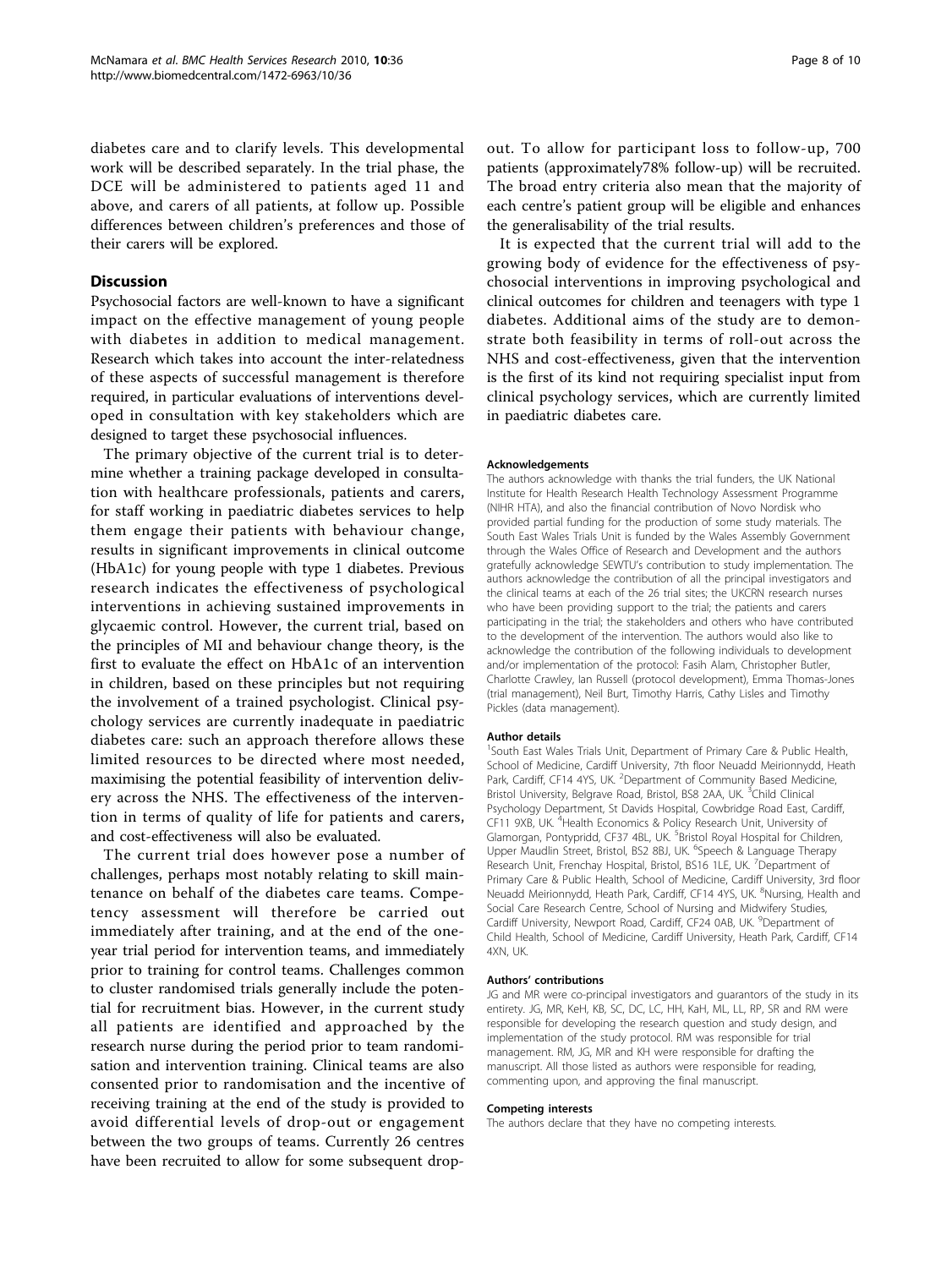diabetes care and to clarify levels. This developmental work will be described separately. In the trial phase, the DCE will be administered to patients aged 11 and above, and carers of all patients, at follow up. Possible differences between children's preferences and those of their carers will be explored.

#### **Discussion**

Psychosocial factors are well-known to have a significant impact on the effective management of young people with diabetes in addition to medical management. Research which takes into account the inter-relatedness of these aspects of successful management is therefore required, in particular evaluations of interventions developed in consultation with key stakeholders which are designed to target these psychosocial influences.

The primary objective of the current trial is to determine whether a training package developed in consultation with healthcare professionals, patients and carers, for staff working in paediatric diabetes services to help them engage their patients with behaviour change, results in significant improvements in clinical outcome (HbA1c) for young people with type 1 diabetes. Previous research indicates the effectiveness of psychological interventions in achieving sustained improvements in glycaemic control. However, the current trial, based on the principles of MI and behaviour change theory, is the first to evaluate the effect on HbA1c of an intervention in children, based on these principles but not requiring the involvement of a trained psychologist. Clinical psychology services are currently inadequate in paediatric diabetes care: such an approach therefore allows these limited resources to be directed where most needed, maximising the potential feasibility of intervention delivery across the NHS. The effectiveness of the intervention in terms of quality of life for patients and carers, and cost-effectiveness will also be evaluated.

The current trial does however pose a number of challenges, perhaps most notably relating to skill maintenance on behalf of the diabetes care teams. Competency assessment will therefore be carried out immediately after training, and at the end of the oneyear trial period for intervention teams, and immediately prior to training for control teams. Challenges common to cluster randomised trials generally include the potential for recruitment bias. However, in the current study all patients are identified and approached by the research nurse during the period prior to team randomisation and intervention training. Clinical teams are also consented prior to randomisation and the incentive of receiving training at the end of the study is provided to avoid differential levels of drop-out or engagement between the two groups of teams. Currently 26 centres have been recruited to allow for some subsequent dropout. To allow for participant loss to follow-up, 700 patients (approximately78% follow-up) will be recruited. The broad entry criteria also mean that the majority of each centre's patient group will be eligible and enhances the generalisability of the trial results.

It is expected that the current trial will add to the growing body of evidence for the effectiveness of psychosocial interventions in improving psychological and clinical outcomes for children and teenagers with type 1 diabetes. Additional aims of the study are to demonstrate both feasibility in terms of roll-out across the NHS and cost-effectiveness, given that the intervention is the first of its kind not requiring specialist input from clinical psychology services, which are currently limited in paediatric diabetes care.

#### Acknowledgements

The authors acknowledge with thanks the trial funders, the UK National Institute for Health Research Health Technology Assessment Programme (NIHR HTA), and also the financial contribution of Novo Nordisk who provided partial funding for the production of some study materials. The South East Wales Trials Unit is funded by the Wales Assembly Government through the Wales Office of Research and Development and the authors gratefully acknowledge SEWTU's contribution to study implementation. The authors acknowledge the contribution of all the principal investigators and the clinical teams at each of the 26 trial sites; the UKCRN research nurses who have been providing support to the trial; the patients and carers participating in the trial; the stakeholders and others who have contributed to the development of the intervention. The authors would also like to acknowledge the contribution of the following individuals to development and/or implementation of the protocol: Fasih Alam, Christopher Butler, Charlotte Crawley, Ian Russell (protocol development), Emma Thomas-Jones (trial management), Neil Burt, Timothy Harris, Cathy Lisles and Timothy Pickles (data management).

#### Author details

<sup>1</sup>South East Wales Trials Unit, Department of Primary Care & Public Health, School of Medicine, Cardiff University, 7th floor Neuadd Meirionnydd, Heath Park, Cardiff, CF14 4YS, UK. <sup>2</sup>Department of Community Based Medicine, Bristol University, Belgrave Road, Bristol, BS8 2AA, UK.<sup>3</sup>Child Clinical Psychology Department, St Davids Hospital, Cowbridge Road East, Cardiff, CF11 9XB, UK. <sup>4</sup>Health Economics & Policy Research Unit, University of Glamorgan, Pontypridd, CF37 4BL, UK. <sup>5</sup>Bristol Royal Hospital for Children Upper Maudlin Street, Bristol, BS2 8BJ, UK. <sup>6</sup>Speech & Language Therapy Research Unit, Frenchay Hospital, Bristol, BS16 1LE, UK. <sup>7</sup>Department of Primary Care & Public Health, School of Medicine, Cardiff University, 3rd floor Neuadd Meirionnydd, Heath Park, Cardiff, CF14 4YS, UK. <sup>8</sup>Nursing, Health and Social Care Research Centre, School of Nursing and Midwifery Studies, Cardiff University, Newport Road, Cardiff, CF24 0AB, UK. <sup>9</sup>Department of Child Health, School of Medicine, Cardiff University, Heath Park, Cardiff, CF14 4XN, UK.

#### Authors' contributions

JG and MR were co-principal investigators and guarantors of the study in its entirety. JG, MR, KeH, KB, SC, DC, LC, HH, KaH, ML, LL, RP, SR and RM were responsible for developing the research question and study design, and implementation of the study protocol. RM was responsible for trial management. RM, JG, MR and KH were responsible for drafting the manuscript. All those listed as authors were responsible for reading, commenting upon, and approving the final manuscript.

#### Competing interests

The authors declare that they have no competing interests.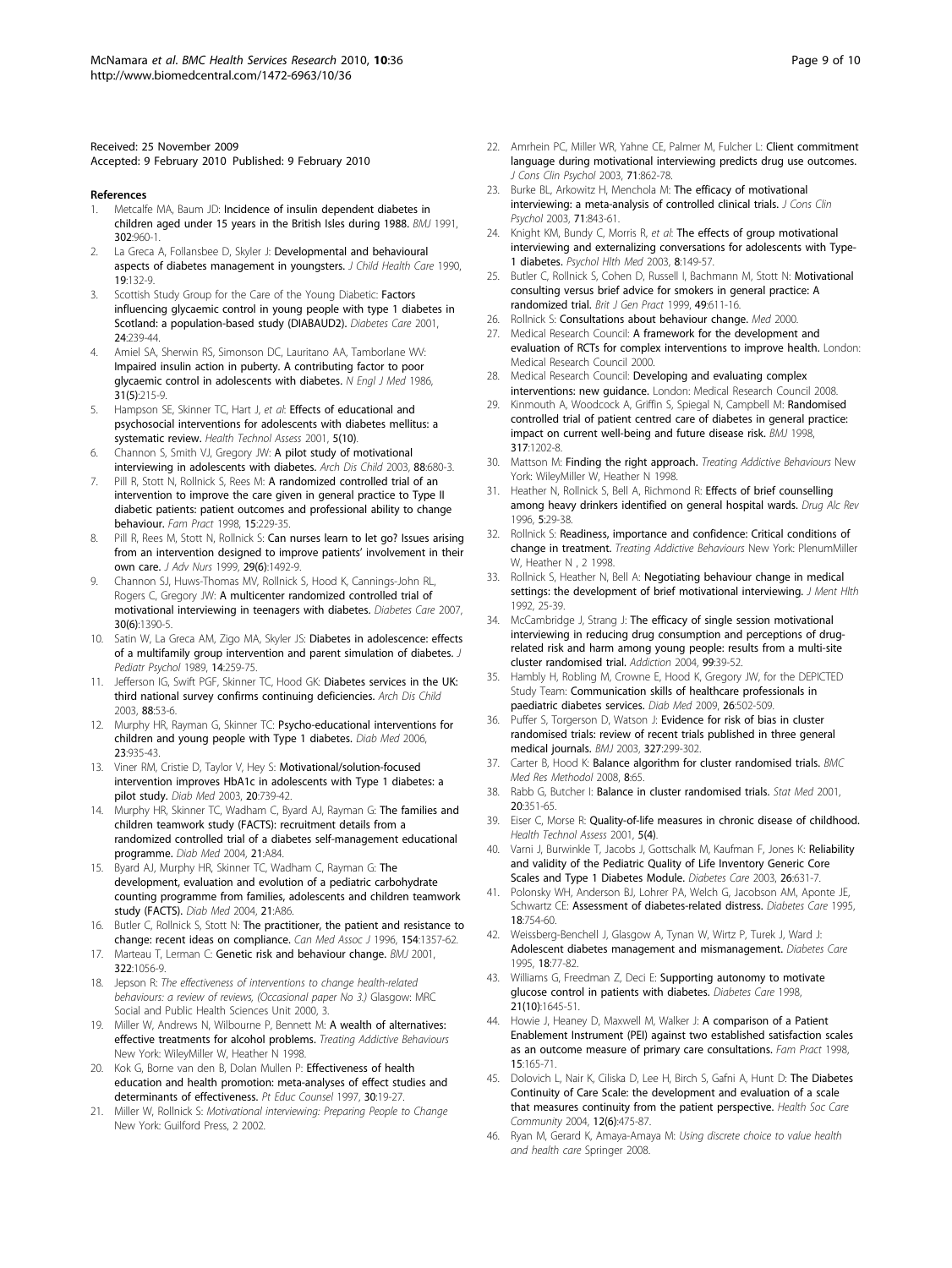<span id="page-8-0"></span>Received: 25 November 2009 Accepted: 9 February 2010 Published: 9 February 2010

#### References

- 1. Metcalfe MA, Baum JD: Incidence of insulin dependent diabetes in children aged under 15 years in the British Isles during 1988. BMJ 1991, 302:960-1.
- La Greca A, Follansbee D, Skyler J: Developmental and behavioural aspects of diabetes management in youngsters. J Child Health Care 1990, 19:132-9.
- Scottish Study Group for the Care of the Young Diabetic: [Factors](http://www.ncbi.nlm.nih.gov/pubmed/11213872?dopt=Abstract) [influencing glycaemic control in young people with type 1 diabetes in](http://www.ncbi.nlm.nih.gov/pubmed/11213872?dopt=Abstract) [Scotland: a population-based study \(DIABAUD2\).](http://www.ncbi.nlm.nih.gov/pubmed/11213872?dopt=Abstract) Diabetes Care 2001, 24:239-44.
- 4. Amiel SA, Sherwin RS, Simonson DC, Lauritano AA, Tamborlane WV: Impaired insulin action in puberty. A contributing factor to poor glycaemic control in adolescents with diabetes. N Engl J Med 1986, 31(5):215-9.
- 5. Hampson SE, Skinner TC, Hart J, et al: [Effects of educational and](http://www.ncbi.nlm.nih.gov/pubmed/11319990?dopt=Abstract) [psychosocial interventions for adolescents with diabetes mellitus: a](http://www.ncbi.nlm.nih.gov/pubmed/11319990?dopt=Abstract) [systematic review.](http://www.ncbi.nlm.nih.gov/pubmed/11319990?dopt=Abstract) Health Technol Assess 2001, 5(10).
- Channon S, Smith VJ, Gregory JW: [A pilot study of motivational](http://www.ncbi.nlm.nih.gov/pubmed/12876161?dopt=Abstract) [interviewing in adolescents with diabetes.](http://www.ncbi.nlm.nih.gov/pubmed/12876161?dopt=Abstract) Arch Dis Child 2003, 88:680-3.
- Pill R, Stott N, Rollnick S, Rees M: [A randomized controlled trial of an](http://www.ncbi.nlm.nih.gov/pubmed/9694180?dopt=Abstract) [intervention to improve the care given in general practice to Type II](http://www.ncbi.nlm.nih.gov/pubmed/9694180?dopt=Abstract) [diabetic patients: patient outcomes and professional ability to change](http://www.ncbi.nlm.nih.gov/pubmed/9694180?dopt=Abstract) [behaviour.](http://www.ncbi.nlm.nih.gov/pubmed/9694180?dopt=Abstract) Fam Pract 1998, 15:229-35.
- 8. Pill R, Rees M, Stott N, Rollnick S: [Can nurses learn to let go? Issues arising](http://www.ncbi.nlm.nih.gov/pubmed/10354245?dopt=Abstract) [from an intervention designed to improve patients](http://www.ncbi.nlm.nih.gov/pubmed/10354245?dopt=Abstract)' involvement in their [own care.](http://www.ncbi.nlm.nih.gov/pubmed/10354245?dopt=Abstract) J Adv Nurs 1999, 29(6):1492-9.
- 9. Channon SJ, Huws-Thomas MV, Rollnick S, Hood K, Cannings-John RL, Rogers C, Gregory JW: [A multicenter randomized controlled trial of](http://www.ncbi.nlm.nih.gov/pubmed/17351283?dopt=Abstract) [motivational interviewing in teenagers with diabetes.](http://www.ncbi.nlm.nih.gov/pubmed/17351283?dopt=Abstract) Diabetes Care 2007, 30(6):1390-5.
- 10. Satin W, La Greca AM, Zigo MA, Skyler JS: [Diabetes in adolescence: effects](http://www.ncbi.nlm.nih.gov/pubmed/2754576?dopt=Abstract) [of a multifamily group intervention and parent simulation of diabetes.](http://www.ncbi.nlm.nih.gov/pubmed/2754576?dopt=Abstract) J Pediatr Psychol 1989, 14:259-75.
- 11. Jefferson IG, Swift PGF, Skinner TC, Hood GK: [Diabetes services in the UK:](http://www.ncbi.nlm.nih.gov/pubmed/12495963?dopt=Abstract) [third national survey confirms continuing deficiencies.](http://www.ncbi.nlm.nih.gov/pubmed/12495963?dopt=Abstract) Arch Dis Child 2003, 88:53-6.
- 12. Murphy HR, Rayman G, Skinner TC: Psycho-educational interventions for children and young people with Type 1 diabetes. Diab Med 2006, 23:935-43.
- 13. Viner RM, Cristie D, Taylor V, Hey S: Motivational/solution-focused intervention improves HbA1c in adolescents with Type 1 diabetes: a pilot study. Diab Med 2003, 20:739-42.
- 14. Murphy HR, Skinner TC, Wadham C, Byard AJ, Rayman G: The families and children teamwork study (FACTS): recruitment details from a randomized controlled trial of a diabetes self-management educational programme. Diab Med 2004, 21:A84.
- 15. Byard AJ, Murphy HR, Skinner TC, Wadham C, Rayman G: The development, evaluation and evolution of a pediatric carbohydrate counting programme from families, adolescents and children teamwork study (FACTS). Diab Med 2004, 21:A86.
- 16. Butler C, Rollnick S, Stott N: The practitioner, the patient and resistance to change: recent ideas on compliance. Can Med Assoc J 1996, 154:1357-62.
- 17. Marteau T, Lerman C: [Genetic risk and behaviour change.](http://www.ncbi.nlm.nih.gov/pubmed/11325776?dopt=Abstract) BMJ 2001, 322:1056-9.
- 18. Jepson R: The effectiveness of interventions to change health-related behaviours: a review of reviews, (Occasional paper No 3.) Glasgow: MRC Social and Public Health Sciences Unit 2000, 3.
- 19. Miller W, Andrews N, Wilbourne P, Bennett M: A wealth of alternatives: effective treatments for alcohol problems. Treating Addictive Behaviours New York: WileyMiller W, Heather N 1998.
- 20. Kok G, Borne van den B, Dolan Mullen P: Effectiveness of health education and health promotion: meta-analyses of effect studies and determinants of effectiveness. Pt Educ Counsel 1997, 30:19-27.
- 21. Miller W, Rollnick S: Motivational interviewing: Preparing People to Change New York: Guilford Press, 2 2002.
- 22. Amrhein PC, Miller WR, Yahne CE, Palmer M, Fulcher L: Client commitment language during motivational interviewing predicts drug use outcomes. J Cons Clin Psychol 2003, 71:862-78.
- 23. Burke BL, Arkowitz H, Menchola M: The efficacy of motivational interviewing: a meta-analysis of controlled clinical trials. J Cons Clin Psychol 2003, 71:843-61.
- 24. Knight KM, Bundy C, Morris R, et al: The effects of group motivational interviewing and externalizing conversations for adolescents with Type-1 diabetes. Psychol Hlth Med 2003, 8:149-57.
- 25. Butler C, Rollnick S, Cohen D, Russell J, Bachmann M, Stott N: Motivational consulting versus brief advice for smokers in general practice: A randomized trial. Brit J Gen Pract 1999, 49:611-16.
- 26. Rollnick S: Consultations about behaviour change. Med 2000.
- 27. Medical Research Council: A framework for the development and evaluation of RCTs for complex interventions to improve health. London: Medical Research Council 2000.
- 28. Medical Research Council: Developing and evaluating complex interventions: new guidance. London: Medical Research Council 2008.
- Kinmouth A, Woodcock A, Griffin S, Spiegal N, Campbell M: [Randomised](http://www.ncbi.nlm.nih.gov/pubmed/9794859?dopt=Abstract) [controlled trial of patient centred care of diabetes in general practice:](http://www.ncbi.nlm.nih.gov/pubmed/9794859?dopt=Abstract) [impact on current well-being and future disease risk.](http://www.ncbi.nlm.nih.gov/pubmed/9794859?dopt=Abstract) BMJ 1998, 317:1202-8.
- 30. Mattson M: Finding the right approach. Treating Addictive Behaviours New York: WileyMiller W, Heather N 1998.
- 31. Heather N, Rollnick S, Bell A, Richmond R: Effects of brief counselling among heavy drinkers identified on general hospital wards. Drug Alc Rev 1996, 5:29-38.
- 32. Rollnick S: Readiness, importance and confidence: Critical conditions of change in treatment. Treating Addictive Behaviours New York: PlenumMiller W, Heather N , 2 1998.
- 33. Rollnick S, Heather N, Bell A: Negotiating behaviour change in medical settings: the development of brief motivational interviewing. J Ment Hlth 1992, 25-39.
- 34. McCambridge J, Strang J: [The efficacy of single session motivational](http://www.ncbi.nlm.nih.gov/pubmed/14678061?dopt=Abstract) [interviewing in reducing drug consumption and perceptions of drug](http://www.ncbi.nlm.nih.gov/pubmed/14678061?dopt=Abstract)[related risk and harm among young people: results from a multi-site](http://www.ncbi.nlm.nih.gov/pubmed/14678061?dopt=Abstract) [cluster randomised trial.](http://www.ncbi.nlm.nih.gov/pubmed/14678061?dopt=Abstract) Addiction 2004, 99:39-52.
- 35. Hambly H, Robling M, Crowne E, Hood K, Gregory JW, for the DEPICTED Study Team: Communication skills of healthcare professionals in paediatric diabetes services. Diab Med 2009, 26:502-509.
- 36. Puffer S, Torgerson D, Watson J: [Evidence for risk of bias in cluster](http://www.ncbi.nlm.nih.gov/pubmed/12907469?dopt=Abstract) [randomised trials: review of recent trials published in three general](http://www.ncbi.nlm.nih.gov/pubmed/12907469?dopt=Abstract) [medical journals.](http://www.ncbi.nlm.nih.gov/pubmed/12907469?dopt=Abstract) BMJ 2003, 327:299-302.
- 37. Carter B, Hood K: [Balance algorithm for cluster randomised trials.](http://www.ncbi.nlm.nih.gov/pubmed/18844993?dopt=Abstract) BMC Med Res Methodol 2008, 8:65.
- 38. Rabb G, Butcher I: [Balance in cluster randomised trials.](http://www.ncbi.nlm.nih.gov/pubmed/11180306?dopt=Abstract) Stat Med 2001, 20:351-65.
- 39. Eiser C, Morse R: [Quality-of-life measures in chronic disease of childhood.](http://www.ncbi.nlm.nih.gov/pubmed/11262421?dopt=Abstract) Health Technol Assess 2001, 5(4).
- 40. Varni J, Burwinkle T, Jacobs J, Gottschalk M, Kaufman F, Jones K: [Reliability](http://www.ncbi.nlm.nih.gov/pubmed/12610013?dopt=Abstract) [and validity of the Pediatric Quality of Life Inventory Generic Core](http://www.ncbi.nlm.nih.gov/pubmed/12610013?dopt=Abstract) [Scales and Type 1 Diabetes Module.](http://www.ncbi.nlm.nih.gov/pubmed/12610013?dopt=Abstract) Diabetes Care 2003, 26:631-7.
- 41. Polonsky WH, Anderson BJ, Lohrer PA, Welch G, Jacobson AM, Aponte JE, Schwartz CE: [Assessment of diabetes-related distress.](http://www.ncbi.nlm.nih.gov/pubmed/7555499?dopt=Abstract) Diabetes Care 1995, 18:754-60.
- 42. Weissberg-Benchell J, Glasgow A, Tynan W, Wirtz P, Turek J, Ward J: [Adolescent diabetes management and mismanagement.](http://www.ncbi.nlm.nih.gov/pubmed/7698052?dopt=Abstract) Diabetes Care 1995, 18:77-82.
- 43. Williams G, Freedman Z, Deci E: Supporting autonomy to motivate glucose control in patients with diabetes. Diabetes Care 1998, 21(10):1645-51.
- 44. Howie J, Heaney D, Maxwell M, Walker J: [A comparison of a Patient](http://www.ncbi.nlm.nih.gov/pubmed/9613486?dopt=Abstract) [Enablement Instrument \(PEI\) against two established satisfaction scales](http://www.ncbi.nlm.nih.gov/pubmed/9613486?dopt=Abstract) [as an outcome measure of primary care consultations.](http://www.ncbi.nlm.nih.gov/pubmed/9613486?dopt=Abstract) Fam Pract 1998, 15:165-71.
- 45. Dolovich L, Nair K, Ciliska D, Lee H, Birch S, Gafni A, Hunt D: [The Diabetes](http://www.ncbi.nlm.nih.gov/pubmed/15717895?dopt=Abstract) [Continuity of Care Scale: the development and evaluation of a scale](http://www.ncbi.nlm.nih.gov/pubmed/15717895?dopt=Abstract) [that measures continuity from the patient perspective.](http://www.ncbi.nlm.nih.gov/pubmed/15717895?dopt=Abstract) Health Soc Care Community 2004, 12(6):475-87.
- 46. Ryan M, Gerard K, Amaya-Amaya M: Using discrete choice to value health and health care Springer 2008.